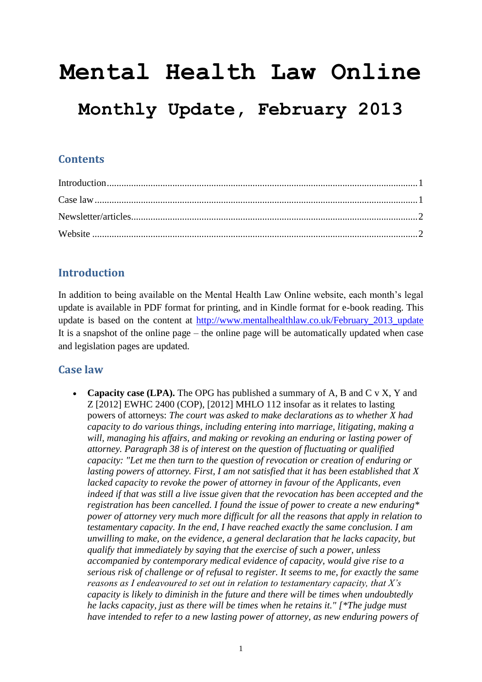# **Mental Health Law Online**

# **Monthly Update, February 2013**

### **Contents**

## <span id="page-0-0"></span>**Introduction**

In addition to being available on the Mental Health Law Online website, each month's legal update is available in PDF format for printing, and in Kindle format for e-book reading. This update is based on the content at [http://www.mentalhealthlaw.co.uk/February\\_2013\\_update](http://www.mentalhealthlaw.co.uk/February_2013_update)  It is a snapshot of the online page – the online page will be automatically updated when case and legislation pages are updated.

#### <span id="page-0-1"></span>**Case law**

• Capacity case (LPA). The OPG has published a summary of A, B and C v X, Y and Z [2012] EWHC 2400 (COP), [2012] MHLO 112 insofar as it relates to lasting powers of attorneys: *The court was asked to make declarations as to whether X had capacity to do various things, including entering into marriage, litigating, making a will, managing his affairs, and making or revoking an enduring or lasting power of attorney. Paragraph 38 is of interest on the question of fluctuating or qualified capacity: "Let me then turn to the question of revocation or creation of enduring or lasting powers of attorney. First, I am not satisfied that it has been established that X lacked capacity to revoke the power of attorney in favour of the Applicants, even indeed if that was still a live issue given that the revocation has been accepted and the registration has been cancelled. I found the issue of power to create a new enduring\* power of attorney very much more difficult for all the reasons that apply in relation to testamentary capacity. In the end, I have reached exactly the same conclusion. I am unwilling to make, on the evidence, a general declaration that he lacks capacity, but qualify that immediately by saying that the exercise of such a power, unless accompanied by contemporary medical evidence of capacity, would give rise to a serious risk of challenge or of refusal to register. It seems to me, for exactly the same reasons as I endeavoured to set out in relation to testamentary capacity, that X's capacity is likely to diminish in the future and there will be times when undoubtedly he lacks capacity, just as there will be times when he retains it." [\*The judge must have intended to refer to a new lasting power of attorney, as new enduring powers of*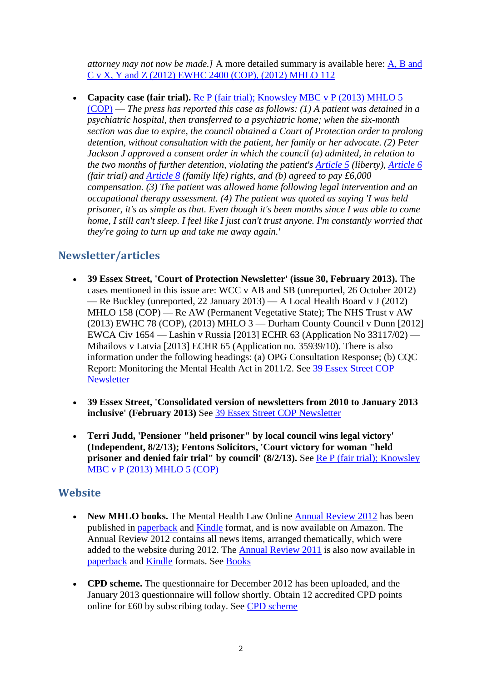*attorney may not now be made.]* A more detailed summary is available here: [A, B and](http://www.mentalhealthlaw.co.uk/A,_B_and_C_v_X,_Y_and_Z_%282012%29_EWHC_2400_%28COP%29,_%282012%29_MHLO_112)  [C v X, Y and Z \(2012\) EWHC 2400 \(COP\), \(2012\) MHLO 112](http://www.mentalhealthlaw.co.uk/A,_B_and_C_v_X,_Y_and_Z_%282012%29_EWHC_2400_%28COP%29,_%282012%29_MHLO_112)

• Capacity case (fair trial). [Re P \(fair trial\); Knowsley MBC](http://www.mentalhealthlaw.co.uk/Re_P_%28fair_trial%29;_Knowsley_MBC_v_P_%282013%29_MHLO_5_%28COP%29) v P (2013) MHLO 5 [\(COP\)](http://www.mentalhealthlaw.co.uk/Re_P_%28fair_trial%29;_Knowsley_MBC_v_P_%282013%29_MHLO_5_%28COP%29) — *The press has reported this case as follows: (1) A patient was detained in a psychiatric hospital, then transferred to a psychiatric home; when the six-month section was due to expire, the council obtained a Court of Protection order to prolong detention, without consultation with the patient, her family or her advocate. (2) Peter Jackson J approved a consent order in which the council (a) admitted, in relation to the two months of further detention, violating the patient's [Article 5](http://www.mentalhealthlaw.co.uk/Article_5) (liberty), [Article 6](http://www.mentalhealthlaw.co.uk/Article_6) (fair trial) and [Article 8](http://www.mentalhealthlaw.co.uk/Article_8) (family life) rights, and (b) agreed to pay £6,000 compensation. (3) The patient was allowed home following legal intervention and an occupational therapy assessment. (4) The patient was quoted as saying 'I was held prisoner, it's as simple as that. Even though it's been months since I was able to come home, I still can't sleep. I feel like I just can't trust anyone. I'm constantly worried that they're going to turn up and take me away again.'* 

#### <span id="page-1-0"></span>**Newsletter/articles**

- **39 Essex Street, 'Court of Protection Newsletter' (issue 30, February 2013).** The cases mentioned in this issue are: WCC v AB and SB (unreported, 26 October 2012) — Re Buckley (unreported, 22 January 2013) — A Local Health Board v J (2012) MHLO 158 (COP) — Re AW (Permanent Vegetative State); The NHS Trust v AW (2013) EWHC 78 (COP), (2013) MHLO 3 — Durham County Council v Dunn [2012] EWCA Civ 1654 — Lashin v Russia [2013] ECHR 63 (Application No 33117/02) — Mihailovs v Latvia [2013] ECHR 65 (Application no. 35939/10). There is also information under the following headings: (a) OPG Consultation Response; (b) CQC Report: Monitoring the Mental Health Act in 2011/2. See [39 Essex Street COP](http://www.mentalhealthlaw.co.uk/39_Essex_Street_COP_Newsletter)  **[Newsletter](http://www.mentalhealthlaw.co.uk/39_Essex_Street_COP_Newsletter)**
- **39 Essex Street, 'Consolidated version of newsletters from 2010 to January 2013 inclusive' (February 2013)** See [39 Essex Street COP Newsletter](http://www.mentalhealthlaw.co.uk/39_Essex_Street_COP_Newsletter)
- **Terri Judd, 'Pensioner "held prisoner" by local council wins legal victory' (Independent, 8/2/13); Fentons Solicitors, 'Court victory for woman "held prisoner and denied fair trial" by council' (8/2/13).** See Re P (fair trial); Knowsley [MBC v P \(2013\) MHLO 5 \(COP\)](http://www.mentalhealthlaw.co.uk/Re_P_%28fair_trial%29;_Knowsley_MBC_v_P_%282013%29_MHLO_5_%28COP%29)

#### <span id="page-1-1"></span>**Website**

- New MHLO books. The Mental Health Law Online [Annual Review 2012](http://www.mentalhealthlaw.co.uk/Annual_Review_2012) has been published in [paperback](http://www.amazon.co.uk/dp/1481965638/ref=nosim?tag=mentalhealthlaw-21) and [Kindle](http://www.amazon.co.uk/dp/B00B0VJUUE/ref=nosim?tag=mentalhealthlaw-21) format, and is now available on Amazon. The Annual Review 2012 contains all news items, arranged thematically, which were added to the website during 2012. The [Annual Review 2011](http://www.mentalhealthlaw.co.uk/Annual_Review_2011) is also now available in [paperback](http://www.amazon.co.uk/dp/1482058022/ref=nosim?tag=mentalhealthlaw-21) and [Kindle](http://www.amazon.co.uk/dp/B007GQ7F54/ref=nosim?tag=mentalhealthlaw-21) formats. See [Books](http://www.mentalhealthlaw.co.uk/Books)
- **CPD scheme.** The questionnaire for December 2012 has been uploaded, and the January 2013 questionnaire will follow shortly. Obtain 12 accredited CPD points online for £60 by subscribing today. See [CPD scheme](http://www.mentalhealthlaw.co.uk/CPD_scheme)